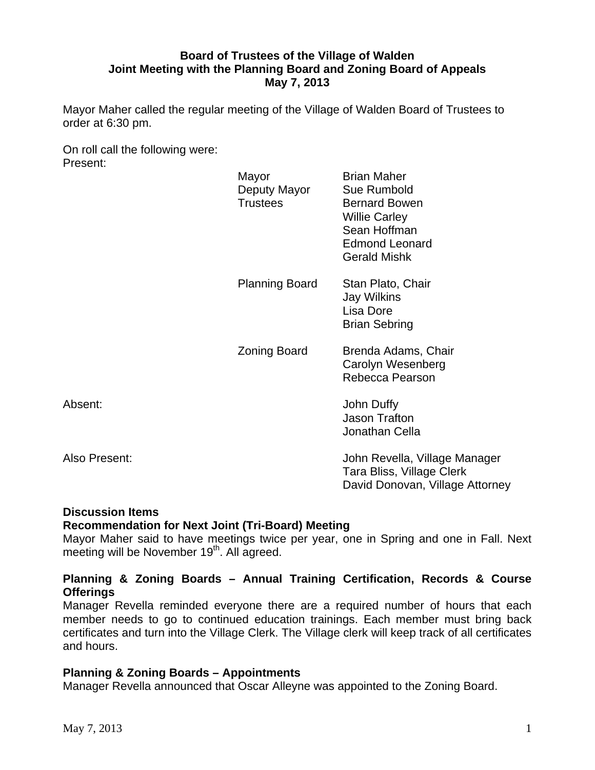# **Board of Trustees of the Village of Walden Joint Meeting with the Planning Board and Zoning Board of Appeals May 7, 2013**

Mayor Maher called the regular meeting of the Village of Walden Board of Trustees to order at 6:30 pm.

On roll call the following were: Present:

|               | Mayor<br>Deputy Mayor<br><b>Trustees</b> | <b>Brian Maher</b><br>Sue Rumbold<br><b>Bernard Bowen</b><br><b>Willie Carley</b><br>Sean Hoffman<br><b>Edmond Leonard</b><br><b>Gerald Mishk</b> |
|---------------|------------------------------------------|---------------------------------------------------------------------------------------------------------------------------------------------------|
|               | <b>Planning Board</b>                    | Stan Plato, Chair<br>Jay Wilkins<br>Lisa Dore<br><b>Brian Sebring</b>                                                                             |
|               | Zoning Board                             | Brenda Adams, Chair<br>Carolyn Wesenberg<br>Rebecca Pearson                                                                                       |
| Absent:       |                                          | John Duffy<br><b>Jason Trafton</b><br>Jonathan Cella                                                                                              |
| Also Present: |                                          | John Revella, Village Manager<br>Tara Bliss, Village Clerk<br>David Donovan, Village Attorney                                                     |

# **Discussion Items**

## **Recommendation for Next Joint (Tri-Board) Meeting**

Mayor Maher said to have meetings twice per year, one in Spring and one in Fall. Next meeting will be November 19<sup>th</sup>. All agreed.

# **Planning & Zoning Boards – Annual Training Certification, Records & Course Offerings**

Manager Revella reminded everyone there are a required number of hours that each member needs to go to continued education trainings. Each member must bring back certificates and turn into the Village Clerk. The Village clerk will keep track of all certificates and hours.

## **Planning & Zoning Boards – Appointments**

Manager Revella announced that Oscar Alleyne was appointed to the Zoning Board.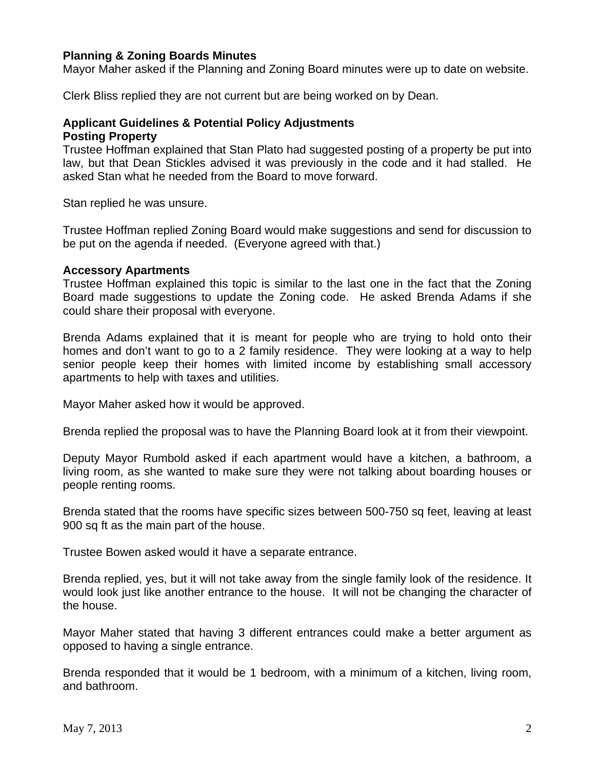## **Planning & Zoning Boards Minutes**

Mayor Maher asked if the Planning and Zoning Board minutes were up to date on website.

Clerk Bliss replied they are not current but are being worked on by Dean.

### **Applicant Guidelines & Potential Policy Adjustments Posting Property**

Trustee Hoffman explained that Stan Plato had suggested posting of a property be put into law, but that Dean Stickles advised it was previously in the code and it had stalled. He asked Stan what he needed from the Board to move forward.

Stan replied he was unsure.

Trustee Hoffman replied Zoning Board would make suggestions and send for discussion to be put on the agenda if needed. (Everyone agreed with that.)

### **Accessory Apartments**

Trustee Hoffman explained this topic is similar to the last one in the fact that the Zoning Board made suggestions to update the Zoning code. He asked Brenda Adams if she could share their proposal with everyone.

Brenda Adams explained that it is meant for people who are trying to hold onto their homes and don't want to go to a 2 family residence. They were looking at a way to help senior people keep their homes with limited income by establishing small accessory apartments to help with taxes and utilities.

Mayor Maher asked how it would be approved.

Brenda replied the proposal was to have the Planning Board look at it from their viewpoint.

Deputy Mayor Rumbold asked if each apartment would have a kitchen, a bathroom, a living room, as she wanted to make sure they were not talking about boarding houses or people renting rooms.

Brenda stated that the rooms have specific sizes between 500-750 sq feet, leaving at least 900 sq ft as the main part of the house.

Trustee Bowen asked would it have a separate entrance.

Brenda replied, yes, but it will not take away from the single family look of the residence. It would look just like another entrance to the house. It will not be changing the character of the house.

Mayor Maher stated that having 3 different entrances could make a better argument as opposed to having a single entrance.

Brenda responded that it would be 1 bedroom, with a minimum of a kitchen, living room, and bathroom.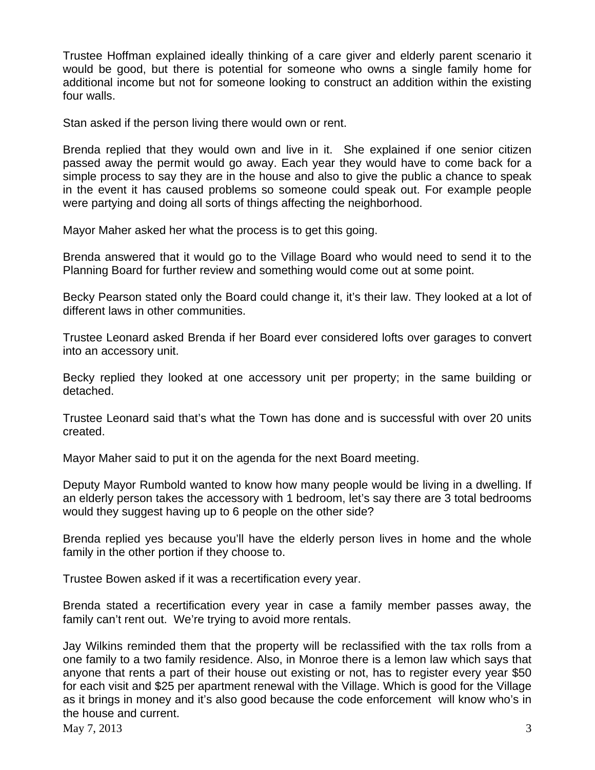Trustee Hoffman explained ideally thinking of a care giver and elderly parent scenario it would be good, but there is potential for someone who owns a single family home for additional income but not for someone looking to construct an addition within the existing four walls.

Stan asked if the person living there would own or rent.

Brenda replied that they would own and live in it. She explained if one senior citizen passed away the permit would go away. Each year they would have to come back for a simple process to say they are in the house and also to give the public a chance to speak in the event it has caused problems so someone could speak out. For example people were partying and doing all sorts of things affecting the neighborhood.

Mayor Maher asked her what the process is to get this going.

Brenda answered that it would go to the Village Board who would need to send it to the Planning Board for further review and something would come out at some point.

Becky Pearson stated only the Board could change it, it's their law. They looked at a lot of different laws in other communities.

Trustee Leonard asked Brenda if her Board ever considered lofts over garages to convert into an accessory unit.

Becky replied they looked at one accessory unit per property; in the same building or detached.

Trustee Leonard said that's what the Town has done and is successful with over 20 units created.

Mayor Maher said to put it on the agenda for the next Board meeting.

Deputy Mayor Rumbold wanted to know how many people would be living in a dwelling. If an elderly person takes the accessory with 1 bedroom, let's say there are 3 total bedrooms would they suggest having up to 6 people on the other side?

Brenda replied yes because you'll have the elderly person lives in home and the whole family in the other portion if they choose to.

Trustee Bowen asked if it was a recertification every year.

Brenda stated a recertification every year in case a family member passes away, the family can't rent out. We're trying to avoid more rentals.

Jay Wilkins reminded them that the property will be reclassified with the tax rolls from a one family to a two family residence. Also, in Monroe there is a lemon law which says that anyone that rents a part of their house out existing or not, has to register every year \$50 for each visit and \$25 per apartment renewal with the Village. Which is good for the Village as it brings in money and it's also good because the code enforcement will know who's in the house and current.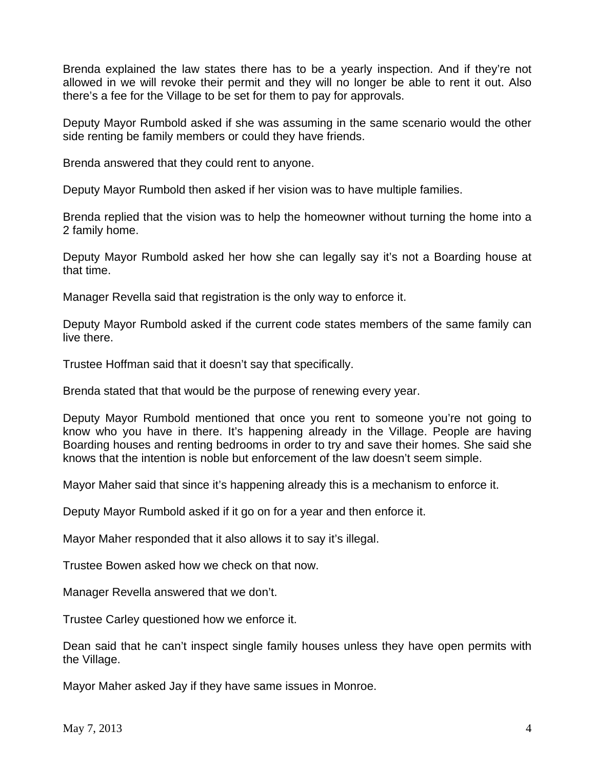Brenda explained the law states there has to be a yearly inspection. And if they're not allowed in we will revoke their permit and they will no longer be able to rent it out. Also there's a fee for the Village to be set for them to pay for approvals.

Deputy Mayor Rumbold asked if she was assuming in the same scenario would the other side renting be family members or could they have friends.

Brenda answered that they could rent to anyone.

Deputy Mayor Rumbold then asked if her vision was to have multiple families.

Brenda replied that the vision was to help the homeowner without turning the home into a 2 family home.

Deputy Mayor Rumbold asked her how she can legally say it's not a Boarding house at that time.

Manager Revella said that registration is the only way to enforce it.

Deputy Mayor Rumbold asked if the current code states members of the same family can live there.

Trustee Hoffman said that it doesn't say that specifically.

Brenda stated that that would be the purpose of renewing every year.

Deputy Mayor Rumbold mentioned that once you rent to someone you're not going to know who you have in there. It's happening already in the Village. People are having Boarding houses and renting bedrooms in order to try and save their homes. She said she knows that the intention is noble but enforcement of the law doesn't seem simple.

Mayor Maher said that since it's happening already this is a mechanism to enforce it.

Deputy Mayor Rumbold asked if it go on for a year and then enforce it.

Mayor Maher responded that it also allows it to say it's illegal.

Trustee Bowen asked how we check on that now.

Manager Revella answered that we don't.

Trustee Carley questioned how we enforce it.

Dean said that he can't inspect single family houses unless they have open permits with the Village.

Mayor Maher asked Jay if they have same issues in Monroe.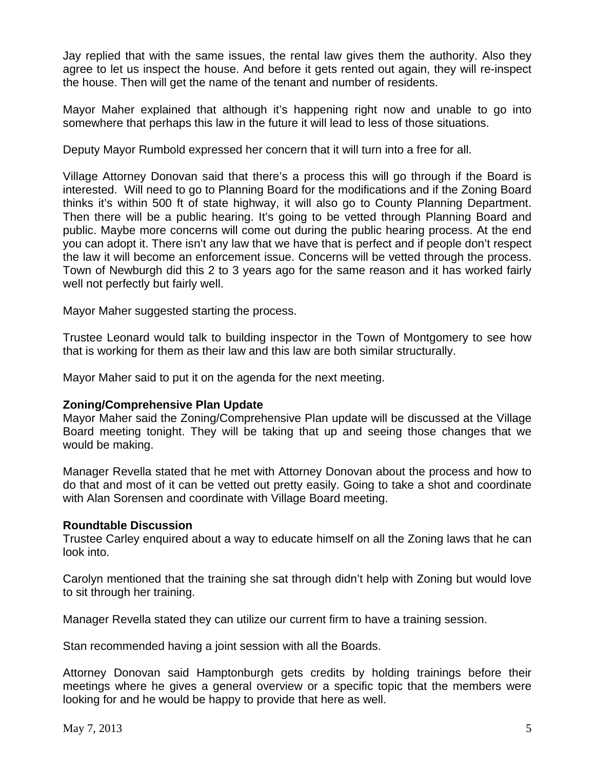Jay replied that with the same issues, the rental law gives them the authority. Also they agree to let us inspect the house. And before it gets rented out again, they will re-inspect the house. Then will get the name of the tenant and number of residents.

Mayor Maher explained that although it's happening right now and unable to go into somewhere that perhaps this law in the future it will lead to less of those situations.

Deputy Mayor Rumbold expressed her concern that it will turn into a free for all.

Village Attorney Donovan said that there's a process this will go through if the Board is interested. Will need to go to Planning Board for the modifications and if the Zoning Board thinks it's within 500 ft of state highway, it will also go to County Planning Department. Then there will be a public hearing. It's going to be vetted through Planning Board and public. Maybe more concerns will come out during the public hearing process. At the end you can adopt it. There isn't any law that we have that is perfect and if people don't respect the law it will become an enforcement issue. Concerns will be vetted through the process. Town of Newburgh did this 2 to 3 years ago for the same reason and it has worked fairly well not perfectly but fairly well.

Mayor Maher suggested starting the process.

Trustee Leonard would talk to building inspector in the Town of Montgomery to see how that is working for them as their law and this law are both similar structurally.

Mayor Maher said to put it on the agenda for the next meeting.

## **Zoning/Comprehensive Plan Update**

Mayor Maher said the Zoning/Comprehensive Plan update will be discussed at the Village Board meeting tonight. They will be taking that up and seeing those changes that we would be making.

Manager Revella stated that he met with Attorney Donovan about the process and how to do that and most of it can be vetted out pretty easily. Going to take a shot and coordinate with Alan Sorensen and coordinate with Village Board meeting.

## **Roundtable Discussion**

Trustee Carley enquired about a way to educate himself on all the Zoning laws that he can look into.

Carolyn mentioned that the training she sat through didn't help with Zoning but would love to sit through her training.

Manager Revella stated they can utilize our current firm to have a training session.

Stan recommended having a joint session with all the Boards.

Attorney Donovan said Hamptonburgh gets credits by holding trainings before their meetings where he gives a general overview or a specific topic that the members were looking for and he would be happy to provide that here as well.